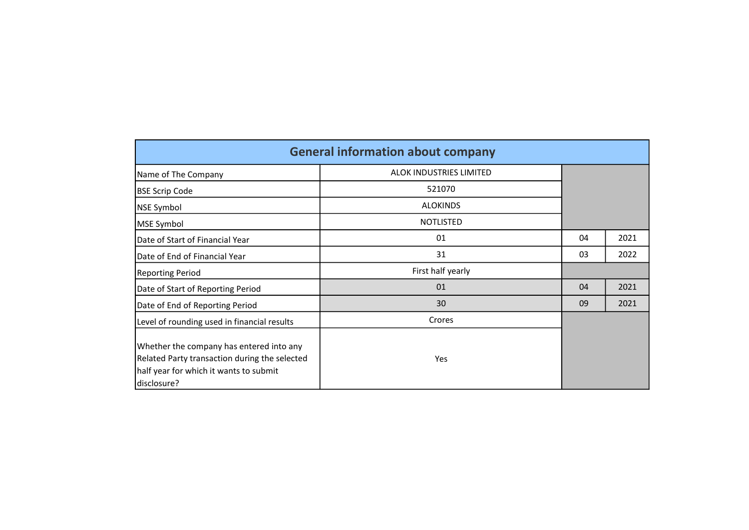|                                                                                                                                                    | <b>General information about company</b> |    |      |
|----------------------------------------------------------------------------------------------------------------------------------------------------|------------------------------------------|----|------|
| Name of The Company                                                                                                                                | ALOK INDUSTRIES LIMITED                  |    |      |
| <b>BSE Scrip Code</b>                                                                                                                              | 521070                                   |    |      |
| <b>NSE Symbol</b>                                                                                                                                  | <b>ALOKINDS</b>                          |    |      |
| MSE Symbol                                                                                                                                         | <b>NOTLISTED</b>                         |    |      |
| Date of Start of Financial Year                                                                                                                    | 01                                       | 04 | 2021 |
| Date of End of Financial Year                                                                                                                      | 31                                       | 03 | 2022 |
| <b>Reporting Period</b>                                                                                                                            | First half yearly                        |    |      |
| Date of Start of Reporting Period                                                                                                                  | 01                                       | 04 | 2021 |
| Date of End of Reporting Period                                                                                                                    | 30                                       | 09 | 2021 |
| Level of rounding used in financial results                                                                                                        | Crores                                   |    |      |
| Whether the company has entered into any<br>Related Party transaction during the selected<br>half year for which it wants to submit<br>disclosure? | Yes                                      |    |      |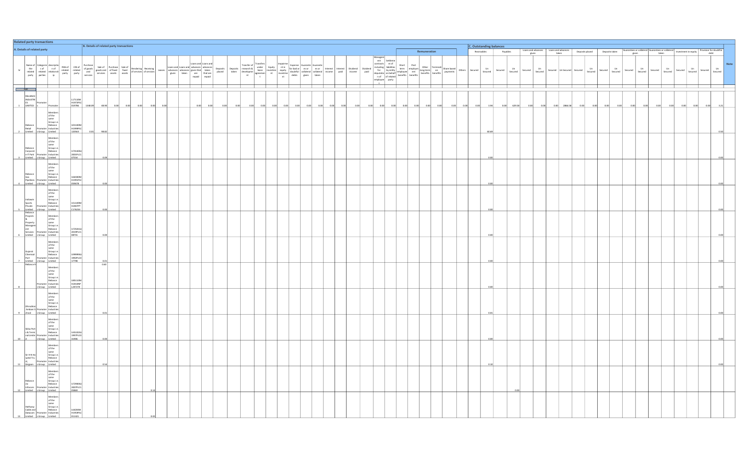|   |                                                                                                                                                                                                                                | <b>Related party transactions</b>                                                                         |                                                                                                                                                                                                                                                                    |                               |                                          |                     |  |                                                                                                                                                                                                                                |  |  |  |  |  |  |                    |  |      |              |  |  |                         |                                                               |                  |  |  |  |        |             |               |          |               |                                                                                                                                          |         |                       |               |                          |         |               |         |               |         |                          |               |      |
|---|--------------------------------------------------------------------------------------------------------------------------------------------------------------------------------------------------------------------------------|-----------------------------------------------------------------------------------------------------------|--------------------------------------------------------------------------------------------------------------------------------------------------------------------------------------------------------------------------------------------------------------------|-------------------------------|------------------------------------------|---------------------|--|--------------------------------------------------------------------------------------------------------------------------------------------------------------------------------------------------------------------------------|--|--|--|--|--|--|--------------------|--|------|--------------|--|--|-------------------------|---------------------------------------------------------------|------------------|--|--|--|--------|-------------|---------------|----------|---------------|------------------------------------------------------------------------------------------------------------------------------------------|---------|-----------------------|---------------|--------------------------|---------|---------------|---------|---------------|---------|--------------------------|---------------|------|
|   |                                                                                                                                                                                                                                | A. Details of related party                                                                               |                                                                                                                                                                                                                                                                    |                               | B. Details of related party transactions |                     |  |                                                                                                                                                                                                                                |  |  |  |  |  |  |                    |  |      | Remuneration |  |  | C. Outstanding balances |                                                               |                  |  |  |  |        |             |               |          |               |                                                                                                                                          |         |                       |               |                          |         |               |         |               |         |                          |               |      |
|   |                                                                                                                                                                                                                                |                                                                                                           |                                                                                                                                                                                                                                                                    |                               |                                          |                     |  |                                                                                                                                                                                                                                |  |  |  |  |  |  |                    |  |      |              |  |  |                         |                                                               |                  |  |  |  |        | Receivables |               | Payables |               | $\begin{tabular}{ c c } \hline \texttt{Loans and advances} & \texttt{Loans and advances} \\ \hline given & \texttt{taken} \end{tabular}$ |         |                       |               |                          |         |               |         |               |         |                          |               |      |
|   |                                                                                                                                                                                                                                |                                                                                                           |                                                                                                                                                                                                                                                                    |                               |                                          |                     |  | Name of Categorie description (Party and Count and Contrast Count of Categorie (Secreting the contrast contrast contrast contrast contrast contrast contrast contrast contrast contrast contrast contrast contrast contrast co |  |  |  |  |  |  | Deposits<br>placed |  |      | ransfers     |  |  |                         | $\begin{tabular}{c} \bf Dividend \\ \bf income \end{tabular}$ | Dividend<br>paid |  |  |  | Others | Secured     | Un<br>Secured | Secured  | Un<br>Secured | Un<br>Secured<br>Secured                                                                                                                 | Secured | Secured<br>Jn Secured | Un<br>Secured | Un<br>Secured<br>Secured | Secured | Un<br>Secured | Secured | Un<br>Secured | Secured | Un<br>Secured<br>Secured | Un<br>Secured | Note |
|   | Add and a set of the set of the set of the set of the set of the set of the set of the set of the set of the set of the set of the set of the set of the set of the set of the set of the set of the set of the set of the set |                                                                                                           |                                                                                                                                                                                                                                                                    |                               |                                          |                     |  |                                                                                                                                                                                                                                |  |  |  |  |  |  |                    |  |      |              |  |  |                         |                                                               |                  |  |  |  |        |             |               |          |               |                                                                                                                                          |         |                       |               |                          |         |               |         |               |         |                          |               |      |
|   |                                                                                                                                                                                                                                |                                                                                                           |                                                                                                                                                                                                                                                                    |                               |                                          |                     |  |                                                                                                                                                                                                                                |  |  |  |  |  |  |                    |  |      |              |  |  |                         |                                                               |                  |  |  |  |        |             |               |          |               |                                                                                                                                          |         |                       |               |                          |         |               |         |               |         |                          |               |      |
|   |                                                                                                                                                                                                                                |                                                                                                           |                                                                                                                                                                                                                                                                    | L17110M                       |                                          |                     |  |                                                                                                                                                                                                                                |  |  |  |  |  |  |                    |  |      |              |  |  |                         |                                                               |                  |  |  |  |        |             |               |          |               |                                                                                                                                          |         |                       |               |                          |         |               |         |               |         |                          |               |      |
|   | RELIANCE<br>INDUSTRI<br>ES<br>1 LIMITED s                                                                                                                                                                                      |                                                                                                           |                                                                                                                                                                                                                                                                    | H1973PLC<br>019786            | 1348.09                                  | 48.90               |  |                                                                                                                                                                                                                                |  |  |  |  |  |  |                    |  | 0.00 |              |  |  |                         |                                                               |                  |  |  |  |        |             |               | 0.00     | 629.58        |                                                                                                                                          |         | 2866.58               |               |                          |         |               |         |               |         |                          |               |      |
|   |                                                                                                                                                                                                                                |                                                                                                           |                                                                                                                                                                                                                                                                    |                               |                                          |                     |  |                                                                                                                                                                                                                                |  |  |  |  |  |  |                    |  |      |              |  |  |                         |                                                               |                  |  |  |  |        |             |               |          |               |                                                                                                                                          |         |                       |               |                          |         |               |         |               |         |                          |               |      |
|   |                                                                                                                                                                                                                                |                                                                                                           | Member<br>Members<br>of the<br>same<br>same<br>Reliance<br>Reliance<br>Promoter Industries<br>Promoter Industries<br>Promoter Industries<br>Promoter Industries<br>Promoter Industries                                                                             | U01100M                       |                                          |                     |  |                                                                                                                                                                                                                                |  |  |  |  |  |  |                    |  |      |              |  |  |                         |                                                               |                  |  |  |  |        |             |               |          |               |                                                                                                                                          |         |                       |               |                          |         |               |         |               |         |                          |               |      |
|   |                                                                                                                                                                                                                                | Limited sGroup Limited                                                                                    |                                                                                                                                                                                                                                                                    | 120563                        | 98.82                                    |                     |  |                                                                                                                                                                                                                                |  |  |  |  |  |  |                    |  |      |              |  |  |                         |                                                               |                  |  |  |  |        |             |               |          |               |                                                                                                                                          |         |                       |               |                          |         |               |         |               |         |                          |               |      |
|   |                                                                                                                                                                                                                                | Limited s Group Limited                                                                                   | Members<br>of the<br>same<br>Reliance<br>Group i.e.<br>Corporat<br>e IT Park<br>Promoter Industries<br>Promoter Industries<br>Promoter Industries                                                                                                                  | U74140GJ<br>2001PLC1<br>07554 |                                          | 0.0                 |  |                                                                                                                                                                                                                                |  |  |  |  |  |  |                    |  |      |              |  |  |                         |                                                               |                  |  |  |  |        |             |               |          |               |                                                                                                                                          |         |                       |               |                          |         |               |         |               |         |                          |               |      |
|   |                                                                                                                                                                                                                                |                                                                                                           | Members                                                                                                                                                                                                                                                            |                               |                                          |                     |  |                                                                                                                                                                                                                                |  |  |  |  |  |  |                    |  |      |              |  |  |                         |                                                               |                  |  |  |  |        |             |               |          |               |                                                                                                                                          |         |                       |               |                          |         |               |         |               |         |                          |               |      |
|   |                                                                                                                                                                                                                                |                                                                                                           |                                                                                                                                                                                                                                                                    |                               |                                          |                     |  |                                                                                                                                                                                                                                |  |  |  |  |  |  |                    |  |      |              |  |  |                         |                                                               |                  |  |  |  |        |             |               |          |               |                                                                                                                                          |         |                       |               |                          |         |               |         |               |         |                          |               |      |
|   |                                                                                                                                                                                                                                |                                                                                                           | Members<br>of the<br>same<br>Reliance<br>Gas<br>Pipelines<br>Promoter Industries<br>Universe Promoter Industries<br>Pipelines<br>Pipelines                                                                                                                         | U60300M                       |                                          |                     |  |                                                                                                                                                                                                                                |  |  |  |  |  |  |                    |  |      |              |  |  |                         |                                                               |                  |  |  |  |        |             |               |          |               |                                                                                                                                          |         |                       |               |                          |         |               |         |               |         |                          |               |      |
|   |                                                                                                                                                                                                                                | Limited sGroup Limited                                                                                    |                                                                                                                                                                                                                                                                    | 059678                        |                                          |                     |  |                                                                                                                                                                                                                                |  |  |  |  |  |  |                    |  |      |              |  |  |                         |                                                               |                  |  |  |  |        |             |               |          |               |                                                                                                                                          |         |                       |               |                          |         |               |         |               |         |                          |               |      |
|   |                                                                                                                                                                                                                                |                                                                                                           | Members<br>Members<br>of the<br>same<br>Indiawin<br>Sports<br>Private Promoter Industries<br>Private Promoter Industries<br>Private Promoter Industries<br>Private Promoter Industries<br>Private Promoter Industries<br>Private Promoter Industries               |                               |                                          |                     |  |                                                                                                                                                                                                                                |  |  |  |  |  |  |                    |  |      |              |  |  |                         |                                                               |                  |  |  |  |        |             |               |          |               |                                                                                                                                          |         |                       |               |                          |         |               |         |               |         |                          |               |      |
|   |                                                                                                                                                                                                                                |                                                                                                           |                                                                                                                                                                                                                                                                    | US1109M                       |                                          |                     |  |                                                                                                                                                                                                                                |  |  |  |  |  |  |                    |  |      |              |  |  |                         |                                                               |                  |  |  |  |        |             |               |          |               |                                                                                                                                          |         |                       |               |                          |         |               |         |               |         |                          |               |      |
|   |                                                                                                                                                                                                                                |                                                                                                           | Frivate Promoter Insulated<br>Limited<br>Reliance<br>Reliance<br>Reperty same<br>Managem<br>Managem<br>Services<br>Services<br>Services<br>Propulsities<br>Services<br>Propulsities<br>Services<br>Propulsities<br>Propulsities<br>Reliance<br>Reliance<br>Relianc | C176254                       |                                          |                     |  |                                                                                                                                                                                                                                |  |  |  |  |  |  |                    |  |      |              |  |  |                         |                                                               |                  |  |  |  |        |             |               |          |               |                                                                                                                                          |         |                       |               |                          |         |               |         |               |         |                          |               |      |
|   |                                                                                                                                                                                                                                |                                                                                                           |                                                                                                                                                                                                                                                                    | U72501G                       |                                          |                     |  |                                                                                                                                                                                                                                |  |  |  |  |  |  |                    |  |      |              |  |  |                         |                                                               |                  |  |  |  |        |             |               |          |               |                                                                                                                                          |         |                       |               |                          |         |               |         |               |         |                          |               |      |
|   |                                                                                                                                                                                                                                | 6 Limited s Group Limited                                                                                 |                                                                                                                                                                                                                                                                    | 2019PLC1<br>08755             |                                          | 0.00                |  |                                                                                                                                                                                                                                |  |  |  |  |  |  |                    |  |      |              |  |  |                         |                                                               |                  |  |  |  |        |             | 0.00          |          |               |                                                                                                                                          |         |                       |               |                          |         |               |         |               |         |                          |               |      |
|   | Gujarat<br>Chemical<br>Port                                                                                                                                                                                                    |                                                                                                           | Members<br>Members<br>of the<br>same<br>Same<br>Group i.e.<br>Reliance<br>Promoter Industries<br>Members                                                                                                                                                           | LJ99999GJ<br>1992PLCO         |                                          |                     |  |                                                                                                                                                                                                                                |  |  |  |  |  |  |                    |  |      |              |  |  |                         |                                                               |                  |  |  |  |        |             |               |          |               |                                                                                                                                          |         |                       |               |                          |         |               |         |               |         |                          |               |      |
|   | Reliance F                                                                                                                                                                                                                     | Limited s Group Limited                                                                                   |                                                                                                                                                                                                                                                                    |                               |                                          | $\frac{0.01}{0.60}$ |  |                                                                                                                                                                                                                                |  |  |  |  |  |  |                    |  |      |              |  |  |                         |                                                               |                  |  |  |  |        |             |               |          |               |                                                                                                                                          |         |                       |               |                          |         |               |         |               |         |                          |               |      |
| 8 |                                                                                                                                                                                                                                | Promoter Industries<br>s Group Limited                                                                    | Members<br>of the<br>same<br>Group i.e.<br>Reliance                                                                                                                                                                                                                | U85110M<br>1207270            |                                          |                     |  |                                                                                                                                                                                                                                |  |  |  |  |  |  |                    |  |      |              |  |  |                         |                                                               |                  |  |  |  |        |             |               |          |               |                                                                                                                                          |         |                       |               |                          |         |               |         |               |         |                          |               |      |
|   |                                                                                                                                                                                                                                |                                                                                                           |                                                                                                                                                                                                                                                                    |                               |                                          |                     |  |                                                                                                                                                                                                                                |  |  |  |  |  |  |                    |  |      |              |  |  |                         |                                                               |                  |  |  |  |        |             |               |          |               |                                                                                                                                          |         |                       |               |                          |         |               |         |               |         |                          |               |      |
|   |                                                                                                                                                                                                                                | 9 chool s Group Limited                                                                                   | Members<br>of the<br>same<br>Soroup i.e.<br>Dhirubhai<br>Promoter Industries<br>Ambani S<br>Promoter Industries<br>Antalis                                                                                                                                         |                               |                                          |                     |  |                                                                                                                                                                                                                                |  |  |  |  |  |  |                    |  |      |              |  |  |                         |                                                               |                  |  |  |  |        |             |               |          |               |                                                                                                                                          |         |                       |               |                          |         |               |         |               |         |                          |               |      |
|   |                                                                                                                                                                                                                                |                                                                                                           | Members<br>of the<br>same<br>Sikka Port<br>s & Termi<br>s Reliance<br>nal Limite<br>Promoter Industries                                                                                                                                                            | U45102GJ<br>1997PLC0          |                                          |                     |  |                                                                                                                                                                                                                                |  |  |  |  |  |  |                    |  |      |              |  |  |                         |                                                               |                  |  |  |  |        |             |               |          |               |                                                                                                                                          |         |                       |               |                          |         |               |         |               |         |                          |               |      |
|   | $10$ d                                                                                                                                                                                                                         | s Group Limited                                                                                           |                                                                                                                                                                                                                                                                    | 31906                         |                                          |                     |  |                                                                                                                                                                                                                                |  |  |  |  |  |  |                    |  |      |              |  |  |                         |                                                               |                  |  |  |  |        |             |               |          |               |                                                                                                                                          |         |                       |               |                          |         |               |         |               |         |                          |               |      |
|   | $\begin{array}{c} \text{Sir H N Ho} \\ \text{spital Tru} \\ \text{st,} \end{array}$                                                                                                                                            | Members<br>of the<br>same<br>for Group i.e.<br>Reliance<br>Promoter Industries<br>Girgaon s Group Limited | Members                                                                                                                                                                                                                                                            |                               |                                          | 0.5                 |  |                                                                                                                                                                                                                                |  |  |  |  |  |  |                    |  |      |              |  |  |                         |                                                               |                  |  |  |  |        |             |               |          |               |                                                                                                                                          |         |                       |               |                          |         |               |         |               |         |                          |               |      |
|   |                                                                                                                                                                                                                                |                                                                                                           | Members                                                                                                                                                                                                                                                            |                               |                                          |                     |  |                                                                                                                                                                                                                                |  |  |  |  |  |  |                    |  |      |              |  |  |                         |                                                               |                  |  |  |  |        |             |               |          |               |                                                                                                                                          |         |                       |               |                          |         |               |         |               |         |                          |               |      |
|   | $\begin{tabular}{ l l } \hline Reliance \\ \hline \textbf{Jio} \\ \hline \textbf{Infocom} \\ \hline \end{tabular}$                                                                                                             | 12 Limited sGroup Limited                                                                                 | of the<br>same<br>Group i.e.<br>Reliance<br>moter Industries                                                                                                                                                                                                       | 072900G1 <br>05869            |                                          |                     |  |                                                                                                                                                                                                                                |  |  |  |  |  |  |                    |  |      |              |  |  |                         |                                                               |                  |  |  |  |        |             |               |          |               |                                                                                                                                          |         |                       |               |                          |         |               |         |               |         |                          |               |      |
|   | Hathway<br>Cable and                                                                                                                                                                                                           | Datacom Promoter Industries                                                                               | Member<br>Members<br>of the<br>same<br>Group i.e.<br>Reliance<br>Limited s Group Limited                                                                                                                                                                           | L64204M<br>011421             |                                          |                     |  |                                                                                                                                                                                                                                |  |  |  |  |  |  |                    |  |      |              |  |  |                         |                                                               |                  |  |  |  |        |             |               |          |               |                                                                                                                                          |         |                       |               |                          |         |               |         |               |         |                          |               |      |